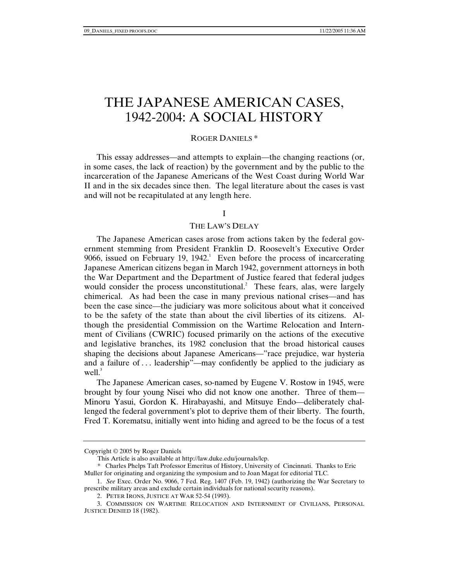# THE JAPANESE AMERICAN CASES, 1942-2004: A SOCIAL HISTORY

## ROGER DANIELS \*

This essay addresses—and attempts to explain—the changing reactions (or, in some cases, the lack of reaction) by the government and by the public to the incarceration of the Japanese Americans of the West Coast during World War II and in the six decades since then. The legal literature about the cases is vast and will not be recapitulated at any length here.

## I

#### THE LAW'S DELAY

The Japanese American cases arose from actions taken by the federal government stemming from President Franklin D. Roosevelt's Executive Order 9066, issued on February 19, 1942.<sup>1</sup> Even before the process of incarcerating Japanese American citizens began in March 1942, government attorneys in both the War Department and the Department of Justice feared that federal judges would consider the process unconstitutional.<sup>2</sup> These fears, alas, were largely chimerical. As had been the case in many previous national crises—and has been the case since—the judiciary was more solicitous about what it conceived to be the safety of the state than about the civil liberties of its citizens. Although the presidential Commission on the Wartime Relocation and Internment of Civilians (CWRIC) focused primarily on the actions of the executive and legislative branches, its 1982 conclusion that the broad historical causes shaping the decisions about Japanese Americans—"race prejudice, war hysteria and a failure of . . . leadership"—may confidently be applied to the judiciary as well. $3$ 

The Japanese American cases, so-named by Eugene V. Rostow in 1945, were brought by four young Nisei who did not know one another. Three of them— Minoru Yasui, Gordon K. Hirabayashi, and Mitsuye Endo—deliberately challenged the federal government's plot to deprive them of their liberty. The fourth, Fred T. Korematsu, initially went into hiding and agreed to be the focus of a test

Copyright © 2005 by Roger Daniels

This Article is also available at http://law.duke.edu/journals/lcp.

 <sup>\*</sup> Charles Phelps Taft Professor Emeritus of History, University of Cincinnati. Thanks to Eric Muller for originating and organizing the symposium and to Joan Magat for editorial TLC.

 <sup>1.</sup> *See* Exec. Order No. 9066, 7 Fed. Reg. 1407 (Feb. 19, 1942) (authorizing the War Secretary to prescribe military areas and exclude certain individuals for national security reasons).

 <sup>2.</sup> PETER IRONS, JUSTICE AT WAR 52-54 (1993).

 <sup>3.</sup> COMMISSION ON WARTIME RELOCATION AND INTERNMENT OF CIVILIANS, PERSONAL JUSTICE DENIED 18 (1982).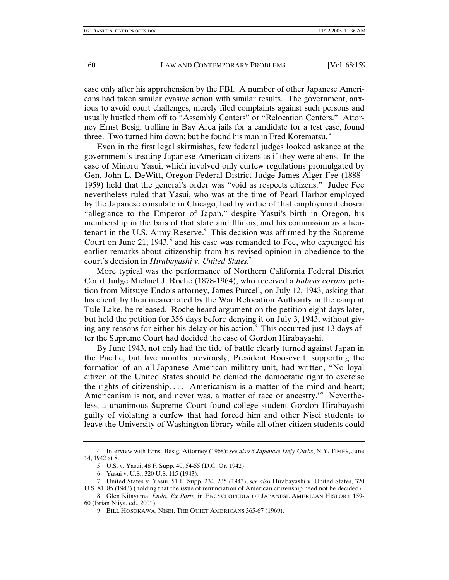case only after his apprehension by the FBI. A number of other Japanese Americans had taken similar evasive action with similar results. The government, anxious to avoid court challenges, merely filed complaints against such persons and usually hustled them off to "Assembly Centers" or "Relocation Centers." Attorney Ernst Besig, trolling in Bay Area jails for a candidate for a test case, found three. Two turned him down; but he found his man in Fred Korematsu.<sup>4</sup>

Even in the first legal skirmishes, few federal judges looked askance at the government's treating Japanese American citizens as if they were aliens. In the case of Minoru Yasui, which involved only curfew regulations promulgated by Gen. John L. DeWitt, Oregon Federal District Judge James Alger Fee (1888– 1959) held that the general's order was "void as respects citizens." Judge Fee nevertheless ruled that Yasui, who was at the time of Pearl Harbor employed by the Japanese consulate in Chicago, had by virtue of that employment chosen "allegiance to the Emperor of Japan," despite Yasui's birth in Oregon, his membership in the bars of that state and Illinois, and his commission as a lieutenant in the U.S. Army Reserve.<sup>5</sup> This decision was affirmed by the Supreme Court on June 21, 1943, $\degree$  and his case was remanded to Fee, who expunged his earlier remarks about citizenship from his revised opinion in obedience to the court's decision in *Hirabayashi v. United States.*<sup>7</sup>

More typical was the performance of Northern California Federal District Court Judge Michael J. Roche (1878-1964), who received a *habeas corpus* petition from Mitsuye Endo's attorney, James Purcell, on July 12, 1943, asking that his client, by then incarcerated by the War Relocation Authority in the camp at Tule Lake, be released. Roche heard argument on the petition eight days later, but held the petition for 356 days before denying it on July 3, 1943, without giving any reasons for either his delay or his action.<sup>8</sup> This occurred just 13 days after the Supreme Court had decided the case of Gordon Hirabayashi.

By June 1943, not only had the tide of battle clearly turned against Japan in the Pacific, but five months previously, President Roosevelt, supporting the formation of an all-Japanese American military unit, had written, "No loyal citizen of the United States should be denied the democratic right to exercise the rights of citizenship. . . . Americanism is a matter of the mind and heart; Americanism is not, and never was, a matter of race or ancestry."<sup>9</sup> Nevertheless, a unanimous Supreme Court found college student Gordon Hirabayashi guilty of violating a curfew that had forced him and other Nisei students to leave the University of Washington library while all other citizen students could

 <sup>4.</sup> Interview with Ernst Besig, Attorney (1968): *see also 3 Japanese Defy Curbs*, N.Y. TIMES, June 14, 1942 at 8.

 <sup>5.</sup> U.S. v. Yasui, 48 F. Supp. 40, 54-55 (D.C. Or. 1942)

 <sup>6.</sup> Yasui v. U.S., 320 U.S. 115 (1943).

 <sup>7.</sup> United States v. Yasui, 51 F. Supp. 234, 235 (1943); *see also* Hirabayashi v. United States, 320 U.S. 81, 85 (1943) (holding that the issue of renunciation of American citizenship need not be decided).

 <sup>8.</sup> Glen Kitayama, *Endo, Ex Parte*, in ENCYCLOPEDIA OF JAPANESE AMERICAN HISTORY 159- 60 (Brian Niiya, ed., 2001).

 <sup>9.</sup> BILL HOSOKAWA, NISEI: THE QUIET AMERICANS 365-67 (1969).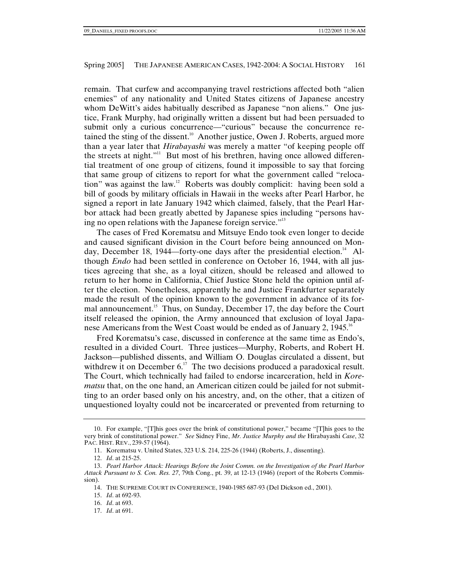remain. That curfew and accompanying travel restrictions affected both "alien enemies" of any nationality and United States citizens of Japanese ancestry whom DeWitt's aides habitually described as Japanese "non aliens." One justice, Frank Murphy, had originally written a dissent but had been persuaded to submit only a curious concurrence—"curious" because the concurrence retained the sting of the dissent.<sup>10</sup> Another justice, Owen J. Roberts, argued more than a year later that *Hirabayashi* was merely a matter "of keeping people off the streets at night."<sup>11</sup> But most of his brethren, having once allowed differential treatment of one group of citizens, found it impossible to say that forcing that same group of citizens to report for what the government called "relocation" was against the law.12 Roberts was doubly complicit: having been sold a bill of goods by military officials in Hawaii in the weeks after Pearl Harbor, he signed a report in late January 1942 which claimed, falsely, that the Pearl Harbor attack had been greatly abetted by Japanese spies including "persons having no open relations with the Japanese foreign service."<sup>13</sup>

The cases of Fred Korematsu and Mitsuye Endo took even longer to decide and caused significant division in the Court before being announced on Monday, December 18, 1944—forty-one days after the presidential election.<sup>14</sup> Although *Endo* had been settled in conference on October 16, 1944, with all justices agreeing that she, as a loyal citizen, should be released and allowed to return to her home in California, Chief Justice Stone held the opinion until after the election. Nonetheless, apparently he and Justice Frankfurter separately made the result of the opinion known to the government in advance of its formal announcement.<sup>15</sup> Thus, on Sunday, December 17, the day before the Court itself released the opinion, the Army announced that exclusion of loyal Japanese Americans from the West Coast would be ended as of January 2, 1945.<sup>16</sup>

Fred Korematsu's case, discussed in conference at the same time as Endo's, resulted in a divided Court. Three justices—Murphy, Roberts, and Robert H. Jackson—published dissents, and William O. Douglas circulated a dissent, but withdrew it on December  $6<sup>17</sup>$ . The two decisions produced a paradoxical result. The Court, which technically had failed to endorse incarceration, held in *Korematsu* that, on the one hand, an American citizen could be jailed for not submitting to an order based only on his ancestry, and, on the other, that a citizen of unquestioned loyalty could not be incarcerated or prevented from returning to

 <sup>10.</sup> For example, "[T]his goes over the brink of constitutional power," became "[T]his goes to the very brink of constitutional power." *See* Sidney Fine, *Mr. Justice Murphy and the* Hirabayashi *Case*, 32 PAC. HIST. REV., 239-57 (1964).

 <sup>11.</sup> Korematsu v. United States, 323 U.S. 214, 225-26 (1944) (Roberts, J., dissenting).

 <sup>12.</sup> *Id*. at 215-25.

 <sup>13.</sup> *Pearl Harbor Attack: Hearings Before the Joint Comm. on the Investigation of the Pearl Harbor Attack Pursuant to S. Con. Res. 27*, 79th Cong., pt. 39, at 12-13 (1946) (report of the Roberts Commission).

 <sup>14.</sup> THE SUPREME COURT IN CONFERENCE, 1940-1985 687-93 (Del Dickson ed., 2001).

 <sup>15.</sup> *Id*. at 692-93.

 <sup>16.</sup> *Id*. at 693.

 <sup>17.</sup> *Id*. at 691.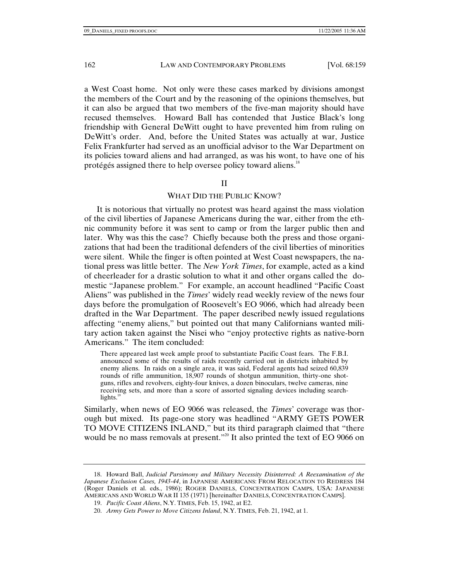a West Coast home. Not only were these cases marked by divisions amongst the members of the Court and by the reasoning of the opinions themselves, but it can also be argued that two members of the five-man majority should have recused themselves. Howard Ball has contended that Justice Black's long friendship with General DeWitt ought to have prevented him from ruling on DeWitt's order. And, before the United States was actually at war, Justice Felix Frankfurter had served as an unofficial advisor to the War Department on its policies toward aliens and had arranged, as was his wont, to have one of his protégés assigned there to help oversee policy toward aliens.18

#### II

# WHAT DID THE PUBLIC KNOW?

It is notorious that virtually no protest was heard against the mass violation of the civil liberties of Japanese Americans during the war, either from the ethnic community before it was sent to camp or from the larger public then and later. Why was this the case? Chiefly because both the press and those organizations that had been the traditional defenders of the civil liberties of minorities were silent. While the finger is often pointed at West Coast newspapers, the national press was little better. The *New York Times*, for example, acted as a kind of cheerleader for a drastic solution to what it and other organs called the domestic "Japanese problem." For example, an account headlined "Pacific Coast Aliens" was published in the *Times*' widely read weekly review of the news four days before the promulgation of Roosevelt's EO 9066, which had already been drafted in the War Department. The paper described newly issued regulations affecting "enemy aliens," but pointed out that many Californians wanted military action taken against the Nisei who "enjoy protective rights as native-born Americans." The item concluded:

There appeared last week ample proof to substantiate Pacific Coast fears. The F.B.I. announced some of the results of raids recently carried out in districts inhabited by enemy aliens. In raids on a single area, it was said, Federal agents had seized 60,839 rounds of rifle ammunition, 18,907 rounds of shotgun ammunition, thirty-one shotguns, rifles and revolvers, eighty-four knives, a dozen binoculars, twelve cameras, nine receiving sets, and more than a score of assorted signaling devices including searchlights. $19$ 

Similarly, when news of EO 9066 was released, the *Times*' coverage was thorough but mixed. Its page-one story was headlined "ARMY GETS POWER TO MOVE CITIZENS INLAND," but its third paragraph claimed that "there would be no mass removals at present."<sup>20</sup> It also printed the text of EO 9066 on

 <sup>18.</sup> Howard Ball, *Judicial Parsimony and Military Necessity Disinterred: A Reexamination of the Japanese Exclusion Cases, 1943-44*, in JAPANESE AMERICANS: FROM RELOCATION TO REDRESS 184 (Roger Daniels et al. eds., 1986); ROGER DANIELS, CONCENTRATION CAMPS, USA: JAPANESE AMERICANS AND WORLD WAR II 135 (1971) [hereinafter DANIELS, CONCENTRATION CAMPS].

 <sup>19.</sup> *Pacific Coast Aliens*, N.Y. TIMES, Feb. 15, 1942, at E2.

 <sup>20.</sup> *Army Gets Power to Move Citizens Inland*, N.Y. TIMES, Feb. 21, 1942, at 1.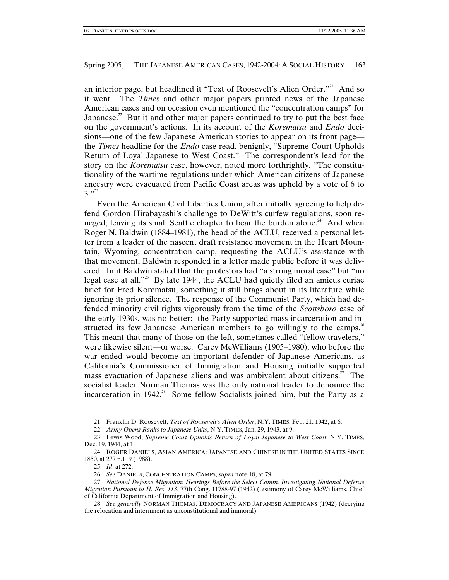an interior page, but headlined it "Text of Roosevelt's Alien Order."<sup>21</sup> And so it went. The *Times* and other major papers printed news of the Japanese American cases and on occasion even mentioned the "concentration camps" for Japanese.<sup>22</sup> But it and other major papers continued to try to put the best face on the government's actions. In its account of the *Korematsu* and *Endo* decisions—one of the few Japanese American stories to appear on its front page the *Times* headline for the *Endo* case read, benignly, "Supreme Court Upholds Return of Loyal Japanese to West Coast." The correspondent's lead for the story on the *Korematsu* case, however, noted more forthrightly, "The constitutionality of the wartime regulations under which American citizens of Japanese ancestry were evacuated from Pacific Coast areas was upheld by a vote of 6 to  $3. "33"$ 

Even the American Civil Liberties Union, after initially agreeing to help defend Gordon Hirabayashi's challenge to DeWitt's curfew regulations, soon reneged, leaving its small Seattle chapter to bear the burden alone.<sup>24</sup> And when Roger N. Baldwin (1884–1981), the head of the ACLU, received a personal letter from a leader of the nascent draft resistance movement in the Heart Mountain, Wyoming, concentration camp, requesting the ACLU's assistance with that movement, Baldwin responded in a letter made public before it was delivered. In it Baldwin stated that the protestors had "a strong moral case" but "no legal case at all."<sup>25</sup> By late 1944, the ACLU had quietly filed an amicus curiae brief for Fred Korematsu, something it still brags about in its literature while ignoring its prior silence. The response of the Communist Party, which had defended minority civil rights vigorously from the time of the *Scottsboro* case of the early 1930s, was no better: the Party supported mass incarceration and instructed its few Japanese American members to go willingly to the camps.<sup>26</sup> This meant that many of those on the left, sometimes called "fellow travelers," were likewise silent—or worse. Carey McWilliams (1905–1980), who before the war ended would become an important defender of Japanese Americans, as California's Commissioner of Immigration and Housing initially supported mass evacuation of Japanese aliens and was ambivalent about citizens.<sup> $27$ </sup> The socialist leader Norman Thomas was the only national leader to denounce the incarceration in 1942.<sup>28</sup> Some fellow Socialists joined him, but the Party as a

 <sup>21.</sup> Franklin D. Roosevelt, *Text of Roosevelt's Alien Order*, N.Y. TIMES, Feb. 21, 1942, at 6.

 <sup>22.</sup> *Army Opens Ranks to Japanese Units*, N.Y. TIMES, Jan. 29, 1943, at 9.

 <sup>23.</sup> Lewis Wood, *Supreme Court Upholds Return of Loyal Japanese to West Coast*, N.Y. TIMES, Dec. 19, 1944, at 1.

 <sup>24.</sup> ROGER DANIELS, ASIAN AMERICA: JAPANESE AND CHINESE IN THE UNITED STATES SINCE 1850, at 277 n.119 (1988).

 <sup>25.</sup> *Id*. at 272.

 <sup>26.</sup> *See* DANIELS, CONCENTRATION CAMPS, *supra* note 18, at 79.

 <sup>27.</sup> *National Defense Migration: Hearings Before the Select Comm. Investigating National Defense Migration Pursuant to H. Res. 113*, 77th Cong. 11788-97 (1942) (testimony of Carey McWilliams, Chief of California Department of Immigration and Housing).

 <sup>28.</sup> *See generally* NORMAN THOMAS, DEMOCRACY AND JAPANESE AMERICANS (1942) (decrying the relocation and internment as unconstitutional and immoral).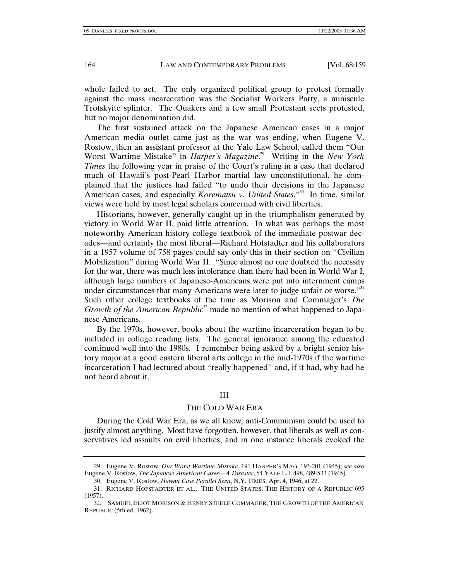whole failed to act. The only organized political group to protest formally against the mass incarceration was the Socialist Workers Party, a miniscule Trotskyite splinter. The Quakers and a few small Protestant sects protested, but no major denomination did.

The first sustained attack on the Japanese American cases in a major American media outlet came just as the war was ending, when Eugene V. Rostow, then an assistant professor at the Yale Law School, called them "Our Worst Wartime Mistake" in *Harper's Magazine*. 29 Writing in the *New York Times* the following year in praise of the Court's ruling in a case that declared much of Hawaii's post-Pearl Harbor martial law unconstitutional, he complained that the justices had failed "to undo their decisions in the Japanese American cases, and especially *Korematsu v. United States*."<sup>30</sup> In time, similar views were held by most legal scholars concerned with civil liberties.

Historians, however, generally caught up in the triumphalism generated by victory in World War II, paid little attention. In what was perhaps the most noteworthy American history college textbook of the immediate postwar decades—and certainly the most liberal—Richard Hofstadter and his collaborators in a 1957 volume of 758 pages could say only this in their section on "Civilian Mobilization" during World War II: "Since almost no one doubted the necessity for the war, there was much less intolerance than there had been in World War I, although large numbers of Japanese-Americans were put into internment camps under circumstances that many Americans were later to judge unfair or worse." $31$ Such other college textbooks of the time as Morison and Commager's *The Growth of the American Republic*<sup>32</sup> made no mention of what happened to Japanese Americans.

By the 1970s, however, books about the wartime incarceration began to be included in college reading lists. The general ignorance among the educated continued well into the 1980s. I remember being asked by a bright senior history major at a good eastern liberal arts college in the mid-1970s if the wartime incarceration I had lectured about "really happened" and, if it had, why had he not heard about it.

## III

## THE COLD WAR ERA

During the Cold War Era, as we all know, anti-Communism could be used to justify almost anything. Most have forgotten, however, that liberals as well as conservatives led assaults on civil liberties, and in one instance liberals evoked the

 <sup>29.</sup> Eugene V. Rostow, *Our Worst Wartime Mistake*, 191 HARPER'S MAG. 193-201 (1945); *see also*  Eugene V. Rostow, *The Japanese American Cases—A Disaster*, 54 YALE L.J. 498, 489-533 (1945).

 <sup>30.</sup> Eugene V. Rostow, *Hawaii Case Parallel Seen*, N.Y. TIMES, Apr. 4, 1946, at 22.

 <sup>31.</sup> RICHARD HOFSTADTER ET AL., THE UNITED STATES: THE HISTORY OF A REPUBLIC 695 (1957).

 <sup>32.</sup> SAMUEL ELIOT MORISON & HENRY STEELE COMMAGER, THE GROWTH OF THE AMERICAN REPUBLIC (5th ed. 1962).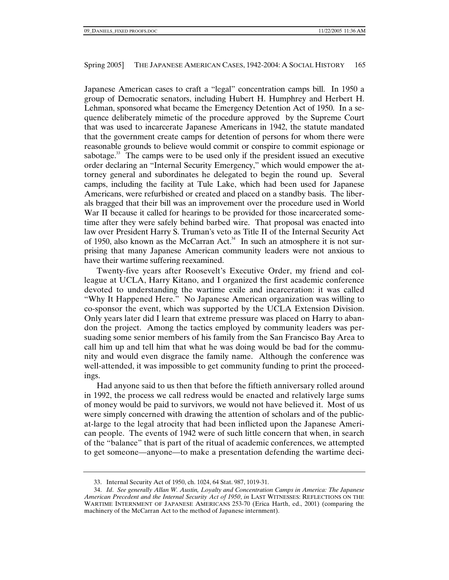Japanese American cases to craft a "legal" concentration camps bill. In 1950 a group of Democratic senators, including Hubert H. Humphrey and Herbert H. Lehman, sponsored what became the Emergency Detention Act of 1950. In a sequence deliberately mimetic of the procedure approved by the Supreme Court that was used to incarcerate Japanese Americans in 1942, the statute mandated that the government create camps for detention of persons for whom there were reasonable grounds to believe would commit or conspire to commit espionage or sabotage.<sup>33</sup> The camps were to be used only if the president issued an executive order declaring an "Internal Security Emergency," which would empower the attorney general and subordinates he delegated to begin the round up. Several camps, including the facility at Tule Lake, which had been used for Japanese Americans, were refurbished or created and placed on a standby basis. The liberals bragged that their bill was an improvement over the procedure used in World War II because it called for hearings to be provided for those incarcerated sometime after they were safely behind barbed wire. That proposal was enacted into law over President Harry S. Truman's veto as Title II of the Internal Security Act of 1950, also known as the McCarran Act.<sup>34</sup> In such an atmosphere it is not surprising that many Japanese American community leaders were not anxious to have their wartime suffering reexamined.

Twenty-five years after Roosevelt's Executive Order, my friend and colleague at UCLA, Harry Kitano, and I organized the first academic conference devoted to understanding the wartime exile and incarceration: it was called "Why It Happened Here." No Japanese American organization was willing to co-sponsor the event, which was supported by the UCLA Extension Division. Only years later did I learn that extreme pressure was placed on Harry to abandon the project. Among the tactics employed by community leaders was persuading some senior members of his family from the San Francisco Bay Area to call him up and tell him that what he was doing would be bad for the community and would even disgrace the family name. Although the conference was well-attended, it was impossible to get community funding to print the proceedings.

Had anyone said to us then that before the fiftieth anniversary rolled around in 1992, the process we call redress would be enacted and relatively large sums of money would be paid to survivors, we would not have believed it. Most of us were simply concerned with drawing the attention of scholars and of the publicat-large to the legal atrocity that had been inflicted upon the Japanese American people. The events of 1942 were of such little concern that when, in search of the "balance" that is part of the ritual of academic conferences, we attempted to get someone—anyone—to make a presentation defending the wartime deci-

 <sup>33.</sup> Internal Security Act of 1950, ch. 1024, 64 Stat. 987, 1019-31.

 <sup>34.</sup> *Id*. *See generally Allan W. Austin, Loyalty and Concentration Camps in America: The Japanese American Precedent and the Internal Security Act of 1950*, *in* LAST WITNESSES: REFLECTIONS ON THE WARTIME INTERNMENT OF JAPANESE AMERICANS 253-70 (Erica Harth, ed., 2001) (comparing the machinery of the McCarran Act to the method of Japanese internment).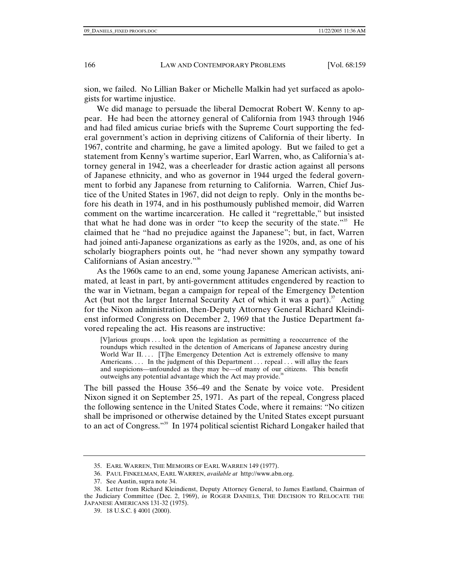sion, we failed. No Lillian Baker or Michelle Malkin had yet surfaced as apologists for wartime injustice.

We did manage to persuade the liberal Democrat Robert W. Kenny to appear. He had been the attorney general of California from 1943 through 1946 and had filed amicus curiae briefs with the Supreme Court supporting the federal government's action in depriving citizens of California of their liberty. In 1967, contrite and charming, he gave a limited apology. But we failed to get a statement from Kenny's wartime superior, Earl Warren, who, as California's attorney general in 1942, was a cheerleader for drastic action against all persons of Japanese ethnicity, and who as governor in 1944 urged the federal government to forbid any Japanese from returning to California. Warren, Chief Justice of the United States in 1967, did not deign to reply. Only in the months before his death in 1974, and in his posthumously published memoir, did Warren comment on the wartime incarceration. He called it "regrettable," but insisted that what he had done was in order "to keep the security of the state."<sup>35</sup> He claimed that he "had no prejudice against the Japanese"; but, in fact, Warren had joined anti-Japanese organizations as early as the 1920s, and, as one of his scholarly biographers points out, he "had never shown any sympathy toward Californians of Asian ancestry."<sup>36</sup>

As the 1960s came to an end, some young Japanese American activists, animated, at least in part, by anti-government attitudes engendered by reaction to the war in Vietnam, began a campaign for repeal of the Emergency Detention Act (but not the larger Internal Security Act of which it was a part). Acting for the Nixon administration, then-Deputy Attorney General Richard Kleindienst informed Congress on December 2, 1969 that the Justice Department favored repealing the act. His reasons are instructive:

[V]arious groups . . . look upon the legislation as permitting a reoccurrence of the roundups which resulted in the detention of Americans of Japanese ancestry during World War II.... [T]he Emergency Detention Act is extremely offensive to many Americans. . . . In the judgment of this Department . . . repeal . . . will allay the fears and suspicions—unfounded as they may be—of many of our citizens. This benefit outweighs any potential advantage which the Act may provide. $38$ 

The bill passed the House 356–49 and the Senate by voice vote. President Nixon signed it on September 25, 1971. As part of the repeal, Congress placed the following sentence in the United States Code, where it remains: "No citizen shall be imprisoned or otherwise detained by the United States except pursuant to an act of Congress."39 In 1974 political scientist Richard Longaker hailed that

 <sup>35.</sup> EARL WARREN, THE MEMOIRS OF EARL WARREN 149 (1977).

 <sup>36.</sup> PAUL FINKELMAN, EARL WARREN, *available at* http://www.abn.org.

 <sup>37.</sup> See Austin, supra note 34.

 <sup>38.</sup> Letter from Richard Kleindienst, Deputy Attorney General, to James Eastland, Chairman of the Judiciary Committee (Dec. 2, 1969), *in* ROGER DANIELS, THE DECISION TO RELOCATE THE JAPANESE AMERICANS 131-32 (1975).

 <sup>39. 18</sup> U.S.C. § 4001 (2000).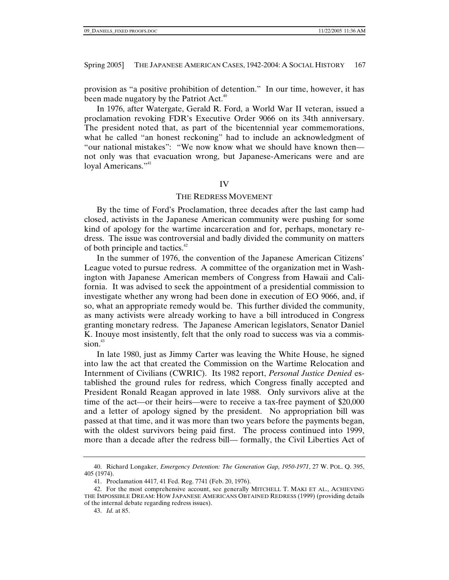provision as "a positive prohibition of detention." In our time, however, it has been made nugatory by the Patriot Act.<sup>40</sup>

In 1976, after Watergate, Gerald R. Ford, a World War II veteran, issued a proclamation revoking FDR's Executive Order 9066 on its 34th anniversary. The president noted that, as part of the bicentennial year commemorations, what he called "an honest reckoning" had to include an acknowledgment of "our national mistakes": "We now know what we should have known then not only was that evacuation wrong, but Japanese-Americans were and are loyal Americans."<sup>41</sup>

#### IV

#### THE REDRESS MOVEMENT

By the time of Ford's Proclamation, three decades after the last camp had closed, activists in the Japanese American community were pushing for some kind of apology for the wartime incarceration and for, perhaps, monetary redress. The issue was controversial and badly divided the community on matters of both principle and tactics.<sup>42</sup>

In the summer of 1976, the convention of the Japanese American Citizens' League voted to pursue redress. A committee of the organization met in Washington with Japanese American members of Congress from Hawaii and California. It was advised to seek the appointment of a presidential commission to investigate whether any wrong had been done in execution of EO 9066, and, if so, what an appropriate remedy would be. This further divided the community, as many activists were already working to have a bill introduced in Congress granting monetary redress. The Japanese American legislators, Senator Daniel K. Inouye most insistently, felt that the only road to success was via a commis $sion.<sup>43</sup>$ 

In late 1980, just as Jimmy Carter was leaving the White House, he signed into law the act that created the Commission on the Wartime Relocation and Internment of Civilians (CWRIC). Its 1982 report, *Personal Justice Denied* established the ground rules for redress, which Congress finally accepted and President Ronald Reagan approved in late 1988. Only survivors alive at the time of the act—or their heirs—were to receive a tax-free payment of \$20,000 and a letter of apology signed by the president. No appropriation bill was passed at that time, and it was more than two years before the payments began, with the oldest survivors being paid first. The process continued into 1999, more than a decade after the redress bill— formally, the Civil Liberties Act of

 <sup>40.</sup> Richard Longaker, *Emergency Detention: The Generation Gap, 1950-1971*, 27 W. POL. Q. 395, 405 (1974).

 <sup>41.</sup> Proclamation 4417, 41 Fed. Reg. 7741 (Feb. 20, 1976).

 <sup>42.</sup> For the most comprehensive account, see generally MITCHELL T. MAKI ET AL., ACHIEVING THE IMPOSSIBLE DREAM: HOW JAPANESE AMERICANS OBTAINED REDRESS (1999) (providing details of the internal debate regarding redress issues).

 <sup>43.</sup> *Id.* at 85.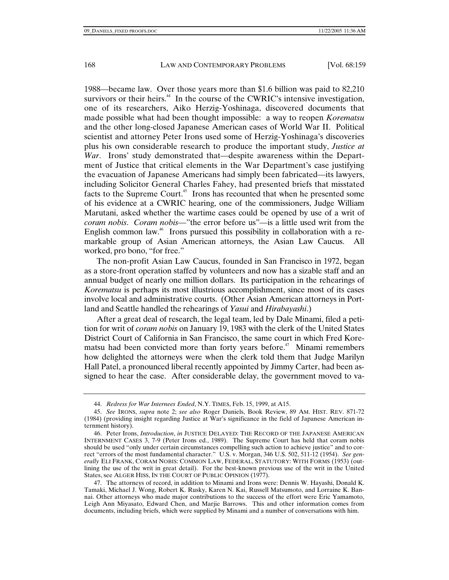1988—became law. Over those years more than \$1.6 billion was paid to 82,210 survivors or their heirs.<sup>44</sup> In the course of the CWRIC's intensive investigation, one of its researchers, Aiko Herzig-Yoshinaga, discovered documents that made possible what had been thought impossible: a way to reopen *Korematsu* and the other long-closed Japanese American cases of World War II. Political scientist and attorney Peter Irons used some of Herzig-Yoshinaga's discoveries plus his own considerable research to produce the important study, *Justice at War*. Irons' study demonstrated that—despite awareness within the Department of Justice that critical elements in the War Department's case justifying the evacuation of Japanese Americans had simply been fabricated—its lawyers, including Solicitor General Charles Fahey, had presented briefs that misstated facts to the Supreme Court.<sup>45</sup> Irons has recounted that when he presented some of his evidence at a CWRIC hearing, one of the commissioners, Judge William Marutani, asked whether the wartime cases could be opened by use of a writ of *coram nobis*. *Coram nobis*—"the error before us"—is a little used writ from the English common law.<sup>46</sup> Irons pursued this possibility in collaboration with a remarkable group of Asian American attorneys, the Asian Law Caucus. All worked, pro bono, "for free."

The non-profit Asian Law Caucus, founded in San Francisco in 1972, began as a store-front operation staffed by volunteers and now has a sizable staff and an annual budget of nearly one million dollars. Its participation in the rehearings of *Korematsu* is perhaps its most illustrious accomplishment, since most of its cases involve local and administrative courts. (Other Asian American attorneys in Portland and Seattle handled the rehearings of *Yasui* and *Hirabayashi*.)

After a great deal of research, the legal team, led by Dale Minami, filed a petition for writ of *coram nobis* on January 19, 1983 with the clerk of the United States District Court of California in San Francisco, the same court in which Fred Korematsu had been convicted more than forty years before.<sup> $47$ </sup> Minami remembers how delighted the attorneys were when the clerk told them that Judge Marilyn Hall Patel, a pronounced liberal recently appointed by Jimmy Carter, had been assigned to hear the case. After considerable delay, the government moved to va-

 <sup>44.</sup> *Redress for War Internees Ended*, N.Y. TIMES, Feb. 15, 1999, at A15.

 <sup>45.</sup> *See* IRONS, *supra* note 2; *see also* Roger Daniels, Book Review, 89 AM. HIST. REV. 871-72 (1984) (providing insight regarding Justice at War's significance in the field of Japanese American internment history).

 <sup>46.</sup> Peter Irons, *Introduction*, *in* JUSTICE DELAYED: THE RECORD OF THE JAPANESE AMERICAN INTERNMENT CASES 3, 7-9 (Peter Irons ed., 1989). The Supreme Court has held that coram nobis should be used "only under certain circumstances compelling such action to achieve justice" and to correct "errors of the most fundamental character." U.S. v. Morgan, 346 U.S. 502, 511-12 (1954). *See generally* ELI FRANK, CORAM NOBIS: COMMON LAW, FEDERAL, STATUTORY: WITH FORMS (1953) (outlining the use of the writ in great detail). For the best-known previous use of the writ in the United States, see ALGER HISS, IN THE COURT OF PUBLIC OPINION (1977).

 <sup>47.</sup> The attorneys of record, in addition to Minami and Irons were: Dennis W. Hayashi, Donald K. Tamaki, Michael J. Wong, Robert K. Rusky, Karen N. Kai, Russell Matsumoto, and Lorraine K. Bannai. Other attorneys who made major contributions to the success of the effort were Eric Yamamoto, Leigh Ann Miyasato, Edward Chen, and Marjie Barrows. This and other information comes from documents, including briefs, which were supplied by Minami and a number of conversations with him.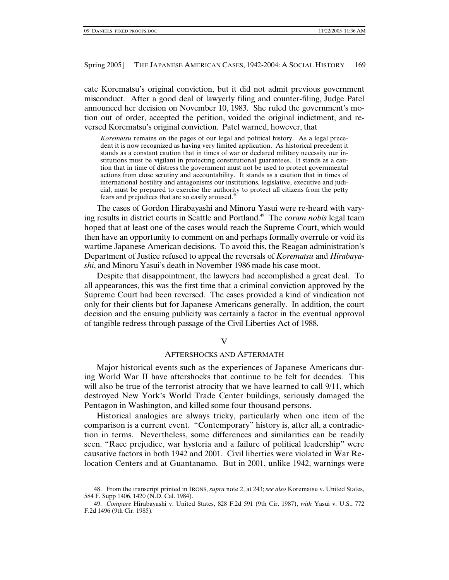cate Korematsu's original conviction, but it did not admit previous government misconduct. After a good deal of lawyerly filing and counter-filing, Judge Patel announced her decision on November 10, 1983. She ruled the government's motion out of order, accepted the petition, voided the original indictment, and reversed Korematsu's original conviction. Patel warned, however, that

*Korematsu* remains on the pages of our legal and political history. As a legal precedent it is now recognized as having very limited application. As historical precedent it stands as a constant caution that in times of war or declared military necessity our institutions must be vigilant in protecting constitutional guarantees. It stands as a caution that in time of distress the government must not be used to protect governmental actions from close scrutiny and accountability. It stands as a caution that in times of international hostility and antagonisms our institutions, legislative, executive and judicial, must be prepared to exercise the authority to protect all citizens from the petty fears and prejudices that are so easily aroused.<sup>48</sup>

The cases of Gordon Hirabayashi and Minoru Yasui were re-heard with varying results in district courts in Seattle and Portland.<sup>49</sup> The *coram nobis* legal team hoped that at least one of the cases would reach the Supreme Court, which would then have an opportunity to comment on and perhaps formally overrule or void its wartime Japanese American decisions. To avoid this, the Reagan administration's Department of Justice refused to appeal the reversals of *Korematsu* and *Hirabayashi*, and Minoru Yasui's death in November 1986 made his case moot.

Despite that disappointment, the lawyers had accomplished a great deal. To all appearances, this was the first time that a criminal conviction approved by the Supreme Court had been reversed. The cases provided a kind of vindication not only for their clients but for Japanese Americans generally. In addition, the court decision and the ensuing publicity was certainly a factor in the eventual approval of tangible redress through passage of the Civil Liberties Act of 1988.

V

# AFTERSHOCKS AND AFTERMATH

Major historical events such as the experiences of Japanese Americans during World War II have aftershocks that continue to be felt for decades. This will also be true of the terrorist atrocity that we have learned to call  $9/11$ , which destroyed New York's World Trade Center buildings, seriously damaged the Pentagon in Washington, and killed some four thousand persons.

Historical analogies are always tricky, particularly when one item of the comparison is a current event. "Contemporary" history is, after all, a contradiction in terms. Nevertheless, some differences and similarities can be readily seen. "Race prejudice, war hysteria and a failure of political leadership" were causative factors in both 1942 and 2001. Civil liberties were violated in War Relocation Centers and at Guantanamo. But in 2001, unlike 1942, warnings were

 <sup>48.</sup> From the transcript printed in IRONS, *supra* note 2, at 243; *see also* Korematsu v. United States, 584 F. Supp 1406, 1420 (N.D. Cal. 1984).

 <sup>49.</sup> *Compare* Hirabayashi v. United States, 828 F.2d 591 (9th Cir. 1987), *with* Yasui v. U.S., 772 F.2d 1496 (9th Cir. 1985).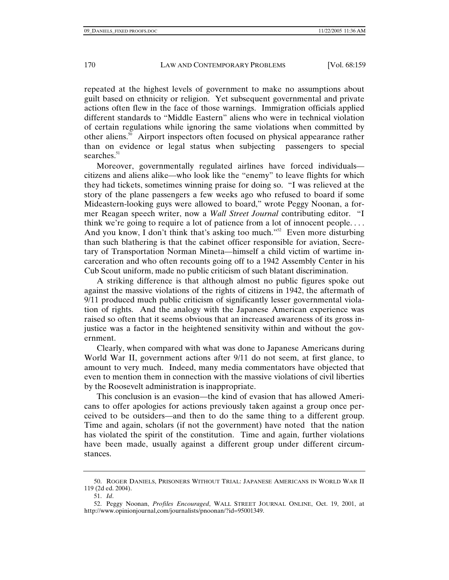repeated at the highest levels of government to make no assumptions about guilt based on ethnicity or religion. Yet subsequent governmental and private actions often flew in the face of those warnings. Immigration officials applied different standards to "Middle Eastern" aliens who were in technical violation of certain regulations while ignoring the same violations when committed by other aliens.50 Airport inspectors often focused on physical appearance rather than on evidence or legal status when subjecting passengers to special searches. $51$ 

Moreover, governmentally regulated airlines have forced individuals citizens and aliens alike—who look like the "enemy" to leave flights for which they had tickets, sometimes winning praise for doing so. "I was relieved at the story of the plane passengers a few weeks ago who refused to board if some Mideastern-looking guys were allowed to board," wrote Peggy Noonan, a former Reagan speech writer, now a *Wall Street Journal* contributing editor. "I think we're going to require a lot of patience from a lot of innocent people. . . . And you know, I don't think that's asking too much."<sup>52</sup> Even more disturbing than such blathering is that the cabinet officer responsible for aviation, Secretary of Transportation Norman Mineta—himself a child victim of wartime incarceration and who often recounts going off to a 1942 Assembly Center in his Cub Scout uniform, made no public criticism of such blatant discrimination.

A striking difference is that although almost no public figures spoke out against the massive violations of the rights of citizens in 1942, the aftermath of 9/11 produced much public criticism of significantly lesser governmental violation of rights. And the analogy with the Japanese American experience was raised so often that it seems obvious that an increased awareness of its gross injustice was a factor in the heightened sensitivity within and without the government.

Clearly, when compared with what was done to Japanese Americans during World War II, government actions after 9/11 do not seem, at first glance, to amount to very much. Indeed, many media commentators have objected that even to mention them in connection with the massive violations of civil liberties by the Roosevelt administration is inappropriate.

This conclusion is an evasion—the kind of evasion that has allowed Americans to offer apologies for actions previously taken against a group once perceived to be outsiders—and then to do the same thing to a different group. Time and again, scholars (if not the government) have noted that the nation has violated the spirit of the constitution. Time and again, further violations have been made, usually against a different group under different circumstances.

 <sup>50.</sup> ROGER DANIELS, PRISONERS WITHOUT TRIAL: JAPANESE AMERICANS IN WORLD WAR II 119 (2d ed. 2004).

 <sup>51.</sup> *Id*.

 <sup>52.</sup> Peggy Noonan, *Profiles Encouraged*, WALL STREET JOURNAL ONLINE, Oct. 19, 2001, at http://www.opinionjournal,com/journalists/pnoonan/?id=95001349.